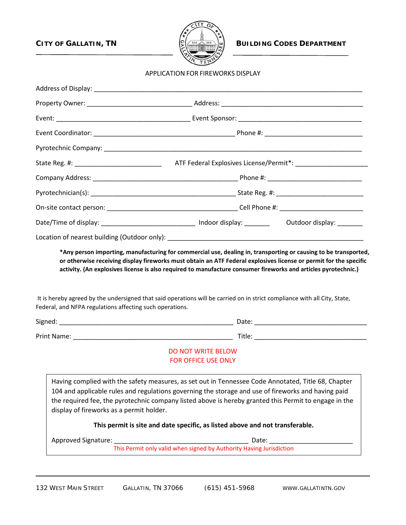

**CITY OF GALLATIN, TN**  $\left[\sum_{n=1}^{\infty}\left(\frac{m}{\text{total}}\right)\frac{m}{\text{total}}\right]$  BUILDING CODES DEPARTMENT

#### APPLICATION FOR FIREWORKS DISPLAY

|                                                          | Date/Time of display: _________________________________ Indoor display: ________ Outdoor display: ________                                                                                                                                                                                                          |  |
|----------------------------------------------------------|---------------------------------------------------------------------------------------------------------------------------------------------------------------------------------------------------------------------------------------------------------------------------------------------------------------------|--|
|                                                          |                                                                                                                                                                                                                                                                                                                     |  |
| Federal, and NFPA regulations affecting such operations. | It is hereby agreed by the undersigned that said operations will be carried on in strict compliance with all City, State,                                                                                                                                                                                           |  |
|                                                          |                                                                                                                                                                                                                                                                                                                     |  |
|                                                          | DO NOT WRITE BELOW<br>FOR OFFICE USE ONLY                                                                                                                                                                                                                                                                           |  |
| display of fireworks as a permit holder.                 | Having complied with the safety measures, as set out in Tennessee Code Annotated, Title 68, Chapter<br>104 and applicable rules and regulations governing the storage and use of fireworks and having paid<br>the required fee, the pyrotechnic company listed above is hereby granted this Permit to engage in the |  |
|                                                          | This permit is site and date specific, as listed above and not transferable.                                                                                                                                                                                                                                        |  |